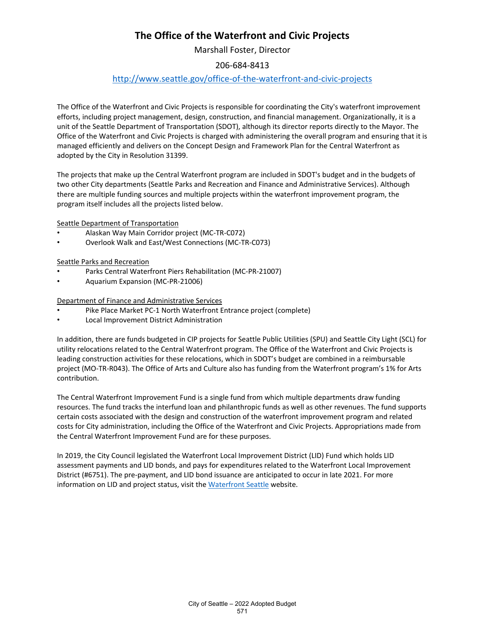# **The Office of the Waterfront and Civic Projects**

Marshall Foster, Director

## 206-684-8413

### <http://www.seattle.gov/office-of-the-waterfront-and-civic-projects>

The Office of the Waterfront and Civic Projects is responsible for coordinating the City's waterfront improvement efforts, including project management, design, construction, and financial management. Organizationally, it is a unit of the Seattle Department of Transportation (SDOT), although its director reports directly to the Mayor. The Office of the Waterfront and Civic Projects is charged with administering the overall program and ensuring that it is managed efficiently and delivers on the Concept Design and Framework Plan for the Central Waterfront as adopted by the City in Resolution 31399.

The projects that make up the Central Waterfront program are included in SDOT's budget and in the budgets of two other City departments (Seattle Parks and Recreation and Finance and Administrative Services). Although there are multiple funding sources and multiple projects within the waterfront improvement program, the program itself includes all the projects listed below.

Seattle Department of Transportation

- Alaskan Way Main Corridor project (MC-TR-C072)
- Overlook Walk and East/West Connections (MC-TR-C073)

#### Seattle Parks and Recreation

- Parks Central Waterfront Piers Rehabilitation (MC-PR-21007)
- Aquarium Expansion (MC-PR-21006)

Department of Finance and Administrative Services

- Pike Place Market PC-1 North Waterfront Entrance project (complete)
- Local Improvement District Administration

In addition, there are funds budgeted in CIP projects for Seattle Public Utilities (SPU) and Seattle City Light (SCL) for utility relocations related to the Central Waterfront program. The Office of the Waterfront and Civic Projects is leading construction activities for these relocations, which in SDOT's budget are combined in a reimbursable project (MO-TR-R043). The Office of Arts and Culture also has funding from the Waterfront program's 1% for Arts contribution.

The Central Waterfront Improvement Fund is a single fund from which multiple departments draw funding resources. The fund tracks the interfund loan and philanthropic funds as well as other revenues. The fund supports certain costs associated with the design and construction of the waterfront improvement program and related costs for City administration, including the Office of the Waterfront and Civic Projects. Appropriations made from the Central Waterfront Improvement Fund are for these purposes.

In 2019, the City Council legislated the Waterfront Local Improvement District (LID) Fund which holds LID assessment payments and LID bonds, and pays for expenditures related to the Waterfront Local Improvement District (#6751). The pre-payment, and LID bond issuance are anticipated to occur in late 2021. For more information on LID and project status, visit the [Waterfront Seattle](https://waterfrontseattle.org/) website.